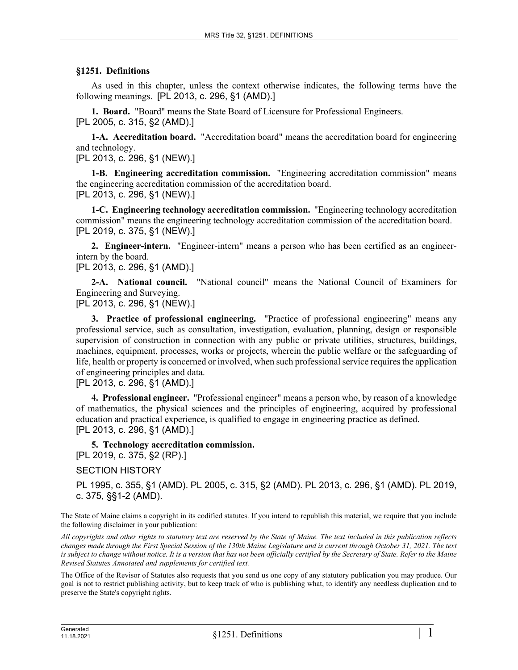## **§1251. Definitions**

As used in this chapter, unless the context otherwise indicates, the following terms have the following meanings. [PL 2013, c. 296, §1 (AMD).]

**1. Board.** "Board" means the State Board of Licensure for Professional Engineers. [PL 2005, c. 315, §2 (AMD).]

**1-A. Accreditation board.** "Accreditation board" means the accreditation board for engineering and technology.

[PL 2013, c. 296, §1 (NEW).]

**1-B. Engineering accreditation commission.** "Engineering accreditation commission" means the engineering accreditation commission of the accreditation board. [PL 2013, c. 296, §1 (NEW).]

**1-C. Engineering technology accreditation commission.** "Engineering technology accreditation commission" means the engineering technology accreditation commission of the accreditation board. [PL 2019, c. 375, §1 (NEW).]

**2. Engineer-intern.** "Engineer-intern" means a person who has been certified as an engineerintern by the board.

[PL 2013, c. 296, §1 (AMD).]

**2-A. National council.** "National council" means the National Council of Examiners for Engineering and Surveying.

[PL 2013, c. 296, §1 (NEW).]

**3. Practice of professional engineering.** "Practice of professional engineering" means any professional service, such as consultation, investigation, evaluation, planning, design or responsible supervision of construction in connection with any public or private utilities, structures, buildings, machines, equipment, processes, works or projects, wherein the public welfare or the safeguarding of life, health or property is concerned or involved, when such professional service requires the application of engineering principles and data.

[PL 2013, c. 296, §1 (AMD).]

**4. Professional engineer.** "Professional engineer" means a person who, by reason of a knowledge of mathematics, the physical sciences and the principles of engineering, acquired by professional education and practical experience, is qualified to engage in engineering practice as defined. [PL 2013, c. 296, §1 (AMD).]

**5. Technology accreditation commission.**  [PL 2019, c. 375, §2 (RP).]

SECTION HISTORY

PL 1995, c. 355, §1 (AMD). PL 2005, c. 315, §2 (AMD). PL 2013, c. 296, §1 (AMD). PL 2019, c. 375, §§1-2 (AMD).

The State of Maine claims a copyright in its codified statutes. If you intend to republish this material, we require that you include the following disclaimer in your publication:

*All copyrights and other rights to statutory text are reserved by the State of Maine. The text included in this publication reflects changes made through the First Special Session of the 130th Maine Legislature and is current through October 31, 2021. The text*  is subject to change without notice. It is a version that has not been officially certified by the Secretary of State. Refer to the Maine *Revised Statutes Annotated and supplements for certified text.*

The Office of the Revisor of Statutes also requests that you send us one copy of any statutory publication you may produce. Our goal is not to restrict publishing activity, but to keep track of who is publishing what, to identify any needless duplication and to preserve the State's copyright rights.